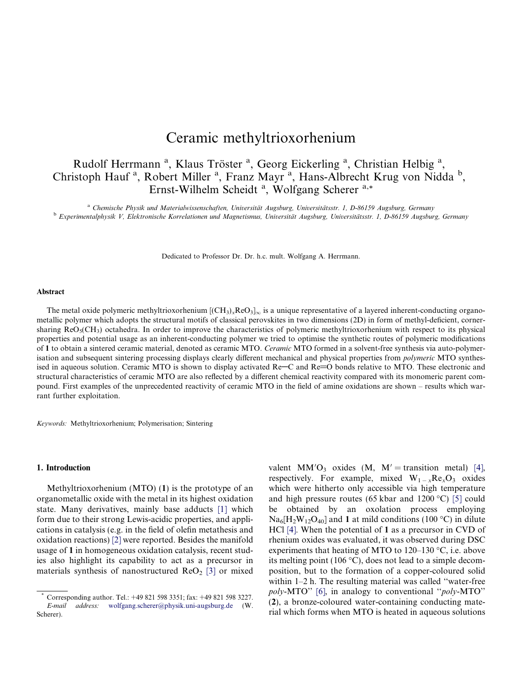# Ceramic methyltrioxorhenium

## Rudolf Herrmann<sup>a</sup>, Klaus Tröster<sup>a</sup>, Georg Eickerling<sup>a</sup>, Christian Helbig<sup>a</sup>, Christoph Hauf<sup>a</sup>, Robert Miller<sup>a</sup>, Franz Mayr<sup>a</sup>, Hans-Albrecht Krug von Nidda<sup>b</sup>, Ernst-Wilhelm Scheidt<sup>a</sup>, Wolfgang Scherer<sup>a,\*</sup>

<sup>a</sup> Chemische Physik und Materialwissenschaften, Universität Augsburg, Universitätsstr. 1, D-86159 Augsburg, Germany <sup>b</sup> Experimentalphysik V, Elektronische Korrelationen und Magnetismus, Universität Augsburg, Universitätsstr. 1, D-86159 Augsburg, Germany

Dedicated to Professor Dr. Dr. h.c. mult. Wolfgang A. Herrmann.

#### Abstract

The metal oxide polymeric methyltrioxorhenium  $[(CH_3)_xReO_3]_{\infty}$  is a unique representative of a layered inherent-conducting organometallic polymer which adopts the structural motifs of classical perovskites in two dimensions (2D) in form of methyl-deficient, cornersharing  $\text{ReO}_5(\text{CH}_3)$  octahedra. In order to improve the characteristics of polymeric methyltrioxorhenium with respect to its physical properties and potential usage as an inherent-conducting polymer we tried to optimise the synthetic routes of polymeric modifications of 1 to obtain a sintered ceramic material, denoted as ceramic MTO. Ceramic MTO formed in a solvent-free synthesis via auto-polymerisation and subsequent sintering processing displays clearly different mechanical and physical properties from *polymeric* MTO synthesised in aqueous solution. Ceramic MTO is shown to display activated  $Re-C$  and  $Re=O$  bonds relative to MTO. These electronic and structural characteristics of ceramic MTO are also reflected by a different chemical reactivity compared with its monomeric parent compound. First examples of the unprecedented reactivity of ceramic MTO in the field of amine oxidations are shown – results which warrant further exploitation.

Keywords: Methyltrioxorhenium; Polymerisation; Sintering

#### 1. Introduction

Methyltrioxorhenium (MTO) (1) is the prototype of an organometallic oxide with the metal in its highest oxidation state. Many derivatives, mainly base adducts [\[1\]](#page-8-0) which form due to their strong Lewis-acidic properties, and applications in catalysis (e.g. in the field of olefin metathesis and oxidation reactions) [\[2\]](#page-8-0) were reported. Besides the manifold usage of 1 in homogeneous oxidation catalysis, recent studies also highlight its capability to act as a precursor in materials synthesis of nanostructured  $\text{ReO}_2$  [\[3\]](#page-8-0) or mixed valent MM'O<sub>3</sub> oxides (M, M' = transition metal) [\[4\],](#page-8-0) respectively. For example, mixed  $W_{1-x}Re_xO_3$  oxides which were hitherto only accessible via high temperature and high pressure routes (65 kbar and 1200 °C) [\[5\]](#page-8-0) could be obtained by an oxolation process employing  $Na<sub>6</sub>[H<sub>2</sub>W<sub>12</sub>O<sub>40</sub>]$  and 1 at mild conditions (100 °C) in dilute HCl [\[4\].](#page-8-0) When the potential of 1 as a precursor in CVD of rhenium oxides was evaluated, it was observed during DSC experiments that heating of MTO to  $120-130$  °C, i.e. above its melting point (106  $\degree$ C), does not lead to a simple decomposition, but to the formation of a copper-coloured solid within 1–2 h. The resulting material was called "water-free poly-MTO" [\[6\],](#page-8-0) in analogy to conventional "poly-MTO" (2), a bronze-coloured water-containing conducting material which forms when MTO is heated in aqueous solutions

Corresponding author. Tel.: +49 821 598 3351; fax: +49 821 598 3227. E-mail address: [wolfgang.scherer@physik.uni-augsburg.de](mailto:wolfgang.scherer@physik.uni-augsburg.de) (W. Scherer).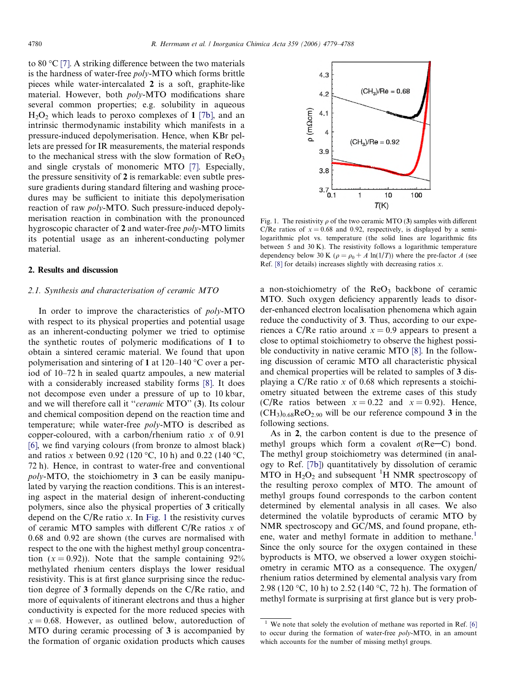<span id="page-1-0"></span>to 80 °C [\[7\]](#page-8-0). A striking difference between the two materials is the hardness of water-free poly-MTO which forms brittle pieces while water-intercalated 2 is a soft, graphite-like material. However, both poly-MTO modifications share several common properties; e.g. solubility in aqueous  $H_2O_2$  which leads to peroxo complexes of 1 [7b], and an intrinsic thermodynamic instability which manifests in a pressure-induced depolymerisation. Hence, when KBr pellets are pressed for IR measurements, the material responds to the mechanical stress with the slow formation of  $\text{ReO}_3$ and single crystals of monomeric MTO [\[7\].](#page-8-0) Especially, the pressure sensitivity of 2 is remarkable: even subtle pressure gradients during standard filtering and washing procedures may be sufficient to initiate this depolymerisation reaction of raw poly-MTO. Such pressure-induced depolymerisation reaction in combination with the pronounced hygroscopic character of 2 and water-free poly-MTO limits its potential usage as an inherent-conducting polymer material.

## 2. Results and discussion

## 2.1. Synthesis and characterisation of ceramic MTO

In order to improve the characteristics of poly-MTO with respect to its physical properties and potential usage as an inherent-conducting polymer we tried to optimise the synthetic routes of polymeric modifications of 1 to obtain a sintered ceramic material. We found that upon polymerisation and sintering of 1 at  $120-140$  °C over a period of 10–72 h in sealed quartz ampoules, a new material with a considerably increased stability forms [\[8\].](#page-8-0) It does not decompose even under a pressure of up to 10 kbar, and we will therefore call it ''ceramic MTO'' (3). Its colour and chemical composition depend on the reaction time and temperature; while water-free poly-MTO is described as copper-coloured, with a carbon/rhenium ratio  $x$  of 0.91 [\[6\]](#page-8-0), we find varying colours (from bronze to almost black) and ratios x between 0.92 (120 °C, 10 h) and 0.22 (140 °C, 72 h). Hence, in contrast to water-free and conventional poly-MTO, the stoichiometry in 3 can be easily manipulated by varying the reaction conditions. This is an interesting aspect in the material design of inherent-conducting polymers, since also the physical properties of 3 critically depend on the C/Re ratio x. In Fig. 1 the resistivity curves of ceramic MTO samples with different  $C/Re$  ratios x of 0.68 and 0.92 are shown (the curves are normalised with respect to the one with the highest methyl group concentration  $(x = 0.92)$ ). Note that the sample containing 92% methylated rhenium centers displays the lower residual resistivity. This is at first glance surprising since the reduction degree of 3 formally depends on the C/Re ratio, and more of equivalents of itinerant electrons and thus a higher conductivity is expected for the more reduced species with  $x = 0.68$ . However, as outlined below, autoreduction of MTO during ceramic processing of 3 is accompanied by the formation of organic oxidation products which causes



Fig. 1. The resistivity  $\rho$  of the two ceramic MTO (3) samples with different C/Re ratios of  $x = 0.68$  and 0.92, respectively, is displayed by a semilogarithmic plot vs. temperature (the solid lines are logarithmic fits between 5 and 30 K). The resistivity follows a logarithmic temperature dependency below 30 K ( $\rho = \rho_0 + A \ln(1/T)$ ) where the pre-factor A (see Ref.  $[8]$  for details) increases slightly with decreasing ratios x.

a non-stoichiometry of the  $\text{ReO}_3$  backbone of ceramic MTO. Such oxygen deficiency apparently leads to disorder-enhanced electron localisation phenomena which again reduce the conductivity of 3. Thus, according to our experiences a C/Re ratio around  $x = 0.9$  appears to present a close to optimal stoichiometry to observe the highest possible conductivity in native ceramic MTO [\[8\].](#page-8-0) In the following discussion of ceramic MTO all characteristic physical and chemical properties will be related to samples of 3 displaying a C/Re ratio  $x$  of 0.68 which represents a stoichiometry situated between the extreme cases of this study (C/Re ratios between  $x = 0.22$  and  $x = 0.92$ ). Hence,  $(CH_3)_{0.68}$ ReO<sub>2.90</sub> will be our reference compound 3 in the following sections.

As in 2, the carbon content is due to the presence of methyl groups which form a covalent  $\sigma(\text{Re}-\text{C})$  bond. The methyl group stoichiometry was determined (in analogy to Ref. [7b]) quantitatively by dissolution of ceramic MTO in  $H_2O_2$  and subsequent <sup>1</sup>H NMR spectroscopy of the resulting peroxo complex of MTO. The amount of methyl groups found corresponds to the carbon content determined by elemental analysis in all cases. We also determined the volatile byproducts of ceramic MTO by NMR spectroscopy and GC/MS, and found propane, ethene, water and methyl formate in addition to methane.<sup>1</sup> Since the only source for the oxygen contained in these byproducts is MTO, we observed a lower oxygen stoichiometry in ceramic MTO as a consequence. The oxygen/ rhenium ratios determined by elemental analysis vary from 2.98 (120 °C, 10 h) to 2.52 (140 °C, 72 h). The formation of methyl formate is surprising at first glance but is very prob-

 $1$  We note that solely the evolution of methane was reported in Ref. [\[6\]](#page-8-0) to occur during the formation of water-free poly-MTO, in an amount which accounts for the number of missing methyl groups.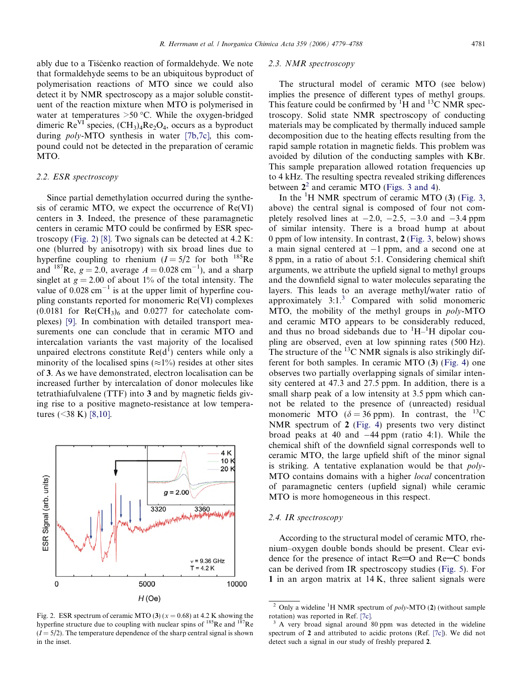ably due to a Tiščenko reaction of formaldehyde. We note that formaldehyde seems to be an ubiquitous byproduct of polymerisation reactions of MTO since we could also detect it by NMR spectroscopy as a major soluble constituent of the reaction mixture when MTO is polymerised in water at temperatures  $>50$  °C. While the oxygen-bridged dimeric  $\text{Re}^{\text{VI}}$  species,  $(\text{CH}_3)_4 \text{Re}_2\text{O}_4$ , occurs as a byproduct during poly-MTO synthesis in water [7b,7c], this compound could not be detected in the preparation of ceramic MTO.

#### 2.2. ESR spectroscopy

Since partial demethylation occurred during the synthesis of ceramic MTO, we expect the occurrence of  $Re(VI)$ centers in 3. Indeed, the presence of these paramagnetic centers in ceramic MTO could be confirmed by ESR spectroscopy (Fig. 2) [\[8\].](#page-8-0) Two signals can be detected at 4.2 K: one (blurred by anisotropy) with six broad lines due to hyperfine coupling to rhenium  $(I = 5/2$  for both  $^{185}$ Re and <sup>187</sup>Re,  $g = 2.0$ , average  $A = 0.028$  cm<sup>-1</sup>), and a sharp singlet at  $g = 2.00$  of about 1% of the total intensity. The value of  $0.028 \text{ cm}^{-1}$  is at the upper limit of hyperfine coupling constants reported for monomeric Re(VI) complexes  $(0.0181$  for  $\text{Re}(CH_3)_6$  and  $0.0277$  for cate cholate complexes) [\[9\].](#page-8-0) In combination with detailed transport measurements one can conclude that in ceramic MTO and intercalation variants the vast majority of the localised unpaired electrons constitute  $\text{Re}(d^{\text{I}})$  centers while only a minority of the localised spins ( $\approx$ 1%) resides at other sites of 3. As we have demonstrated, electron localisation can be increased further by intercalation of donor molecules like tetrathiafulvalene (TTF) into 3 and by magnetic fields giving rise to a positive magneto-resistance at low temperatures  $(<38 \text{ K})$  [\[8,10\]](#page-8-0).



Fig. 2. ESR spectrum of ceramic MTO (3) ( $x = 0.68$ ) at 4.2 K showing the hyperfine structure due to coupling with nuclear spins of <sup>185</sup>Re and <sup>187</sup>Re  $(I = 5/2)$ . The temperature dependence of the sharp central signal is shown in the inset.

## 2.3. NMR spectroscopy

The structural model of ceramic MTO (see below) implies the presence of different types of methyl groups. This feature could be confirmed by  ${}^{1}H$  and  ${}^{13}C$  NMR spectroscopy. Solid state NMR spectroscopy of conducting materials may be complicated by thermally induced sample decomposition due to the heating effects resulting from the rapid sample rotation in magnetic fields. This problem was avoided by dilution of the conducting samples with KBr. This sample preparation allowed rotation frequencies up to 4 kHz. The resulting spectra revealed striking differences between  $2^2$  and ceramic MTO ([Figs.](#page-3-0) 3 and 4).

In the  ${}^{1}$ H NMR spectrum of ceramic MTO (3) [\(Fig.](#page-3-0) 3, above) the central signal is composed of four not completely resolved lines at  $-2.0$ ,  $-2.5$ ,  $-3.0$  and  $-3.4$  ppm of similar intensity. There is a broad hump at about 0 ppm of low intensity. In contrast, 2 [\(Fig.](#page-3-0) 3, below) shows a main signal centered at -1 ppm, and a second one at 8 ppm, in a ratio of about 5:1. Considering chemical shift arguments, we attribute the upfield signal to methyl groups and the downfield signal to water molecules separating the layers. This leads to an average methyl/water ratio of approximately 3:1. <sup>3</sup> Compared with solid monomeric MTO, the mobility of the methyl groups in poly-MTO and ceramic MTO appears to be considerably reduced, and thus no broad sidebands due to  $\mathrm{^{1}H-^{1}H}$  dipolar coupling are observed, even at low spinning rates (500 Hz). The structure of the  ${}^{13}$ C NMR signals is also strikingly different for both samples. In ceramic MTO (3) ([Fig.](#page-3-0) 4) one observes two partially overlapping signals of similar intensity centered at 47.3 and 27.5 ppm. In addition, there is a small sharp peak of a low intensity at 3.5 ppm which cannot be related to the presence of (unreacted) residual monomeric MTO ( $\delta = 36$  ppm). In contrast, the <sup>13</sup>C NMR spectrum of 2 ([Fig.](#page-3-0) 4) presents two very distinct broad peaks at 40 and  $-44$  ppm (ratio 4:1). While the chemical shift of the downfield signal corresponds well to ceramic MTO, the large upfield shift of the minor signal is striking. A tentative explanation would be that poly-MTO contains domains with a higher local concentration of paramagnetic centers (upfield signal) while ceramic MTO is more homogeneous in this respect.

#### 2.4. IR spectroscopy

According to the structural model of ceramic MTO, rhenium–oxygen double bonds should be present. Clear evidence for the presence of intact  $Re=O$  and  $Re-C$  bonds can be derived from IR spectroscopy studies ([Fig.](#page-3-0) 5). For 1 in an argon matrix at 14 K, three salient signals were

<sup>&</sup>lt;sup>2</sup> Only a wideline <sup>1</sup>H NMR spectrum of *poly*-MTO (2) (without sample rotation) was reported in Ref. [7c].

<sup>&</sup>lt;sup>3</sup> A very broad signal around 80 ppm was detected in the wideline spectrum of 2 and attributed to acidic protons (Ref. [7c]). We did not detect such a signal in our study of freshly prepared 2.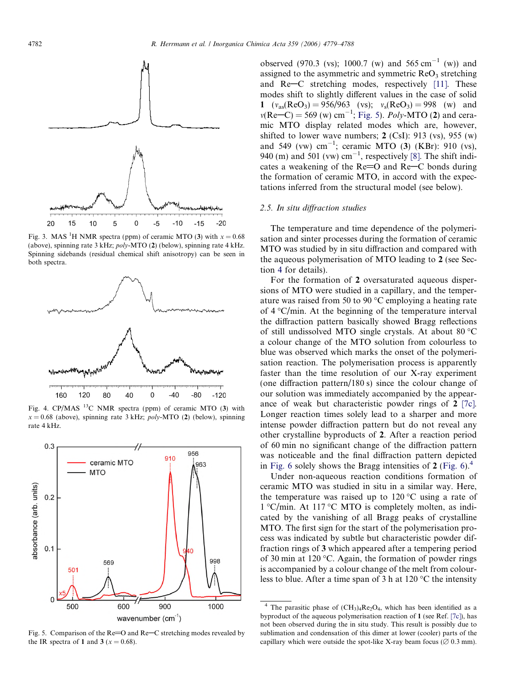<span id="page-3-0"></span>

Fig. 3. MAS <sup>1</sup>H NMR spectra (ppm) of ceramic MTO (3) with  $x = 0.68$ (above), spinning rate 3 kHz; poly-MTO (2) (below), spinning rate 4 kHz. Spinning sidebands (residual chemical shift anisotropy) can be seen in both spectra.



Fig. 4. CP/MAS  $^{13}$ C NMR spectra (ppm) of ceramic MTO (3) with  $x = 0.68$  (above), spinning rate 3 kHz; *poly*-MTO (2) (below), spinning rate 4 kHz.



Fig. 5. Comparison of the  $Re=O$  and  $Re-C$  stretching modes revealed by the IR spectra of 1 and 3 ( $x = 0.68$ ).

observed (970.3 (vs); 1000.7 (w) and 565 cm<sup>-1</sup> (w)) and assigned to the asymmetric and symmetric  $\text{ReO}_3$  stretching and  $Re-C$  stretching modes, respectively [\[11\]](#page-8-0). These modes shift to slightly different values in the case of solid 1  $(v_{as}(ReO_3) = 956/963$  (vs);  $v_s(ReO_3) = 998$  (w) and  $v(Re-C) = 569$  (w) cm<sup>-1</sup>; Fig. 5). *Poly-MTO* (2) and ceramic MTO display related modes which are, however, shifted to lower wave numbers;  $2$  (CsI): 913 (vs), 955 (w) and 549 (vw)  $cm^{-1}$ ; ceramic MTO (3) (KBr): 910 (vs), 940 (m) and 501 (vw)  $cm^{-1}$ , respectively [\[8\]](#page-8-0). The shift indicates a weakening of the  $Re=O$  and  $Re-C$  bonds during the formation of ceramic MTO, in accord with the expectations inferred from the structural model (see below).

#### 2.5. In situ diffraction studies

The temperature and time dependence of the polymerisation and sinter processes during the formation of ceramic MTO was studied by in situ diffraction and compared with the aqueous polymerisation of MTO leading to 2 (see Section [4](#page-7-0) for details).

For the formation of 2 oversaturated aqueous dispersions of MTO were studied in a capillary, and the temperature was raised from 50 to 90 $\degree$ C employing a heating rate of  $4^{\circ}$ C/min. At the beginning of the temperature interval the diffraction pattern basically showed Bragg reflections of still undissolved MTO single crystals. At about 80  $\rm ^{\circ}C$ a colour change of the MTO solution from colourless to blue was observed which marks the onset of the polymerisation reaction. The polymerisation process is apparently faster than the time resolution of our X-ray experiment (one diffraction pattern/180 s) since the colour change of our solution was immediately accompanied by the appearance of weak but characteristic powder rings of 2 [7c]. Longer reaction times solely lead to a sharper and more intense powder diffraction pattern but do not reveal any other crystalline byproducts of 2. After a reaction period of 60 min no significant change of the diffraction pattern was noticeable and the final diffraction pattern depicted in [Fig.](#page-4-0) 6 solely shows the Bragg intensities of  $2$  [\(Fig.](#page-4-0) 6).<sup>4</sup>

Under non-aqueous reaction conditions formation of ceramic MTO was studied in situ in a similar way. Here, the temperature was raised up to  $120^{\circ}$ C using a rate of 1 °C/min. At 117 °C MTO is completely molten, as indicated by the vanishing of all Bragg peaks of crystalline MTO. The first sign for the start of the polymerisation process was indicated by subtle but characteristic powder diffraction rings of 3 which appeared after a tempering period of 30 min at 120  $\degree$ C. Again, the formation of powder rings is accompanied by a colour change of the melt from colourless to blue. After a time span of 3 h at  $120^{\circ}$ C the intensity

<sup>&</sup>lt;sup>4</sup> The parasitic phase of  $(CH_3)_4$ Re<sub>2</sub>O<sub>4</sub>, which has been identified as a byproduct of the aqueous polymerisation reaction of 1 (see Ref. [7c]), has not been observed during the in situ study. This result is possibly due to sublimation and condensation of this dimer at lower (cooler) parts of the capillary which were outside the spot-like X-ray beam focus ( $\varnothing$  0.3 mm).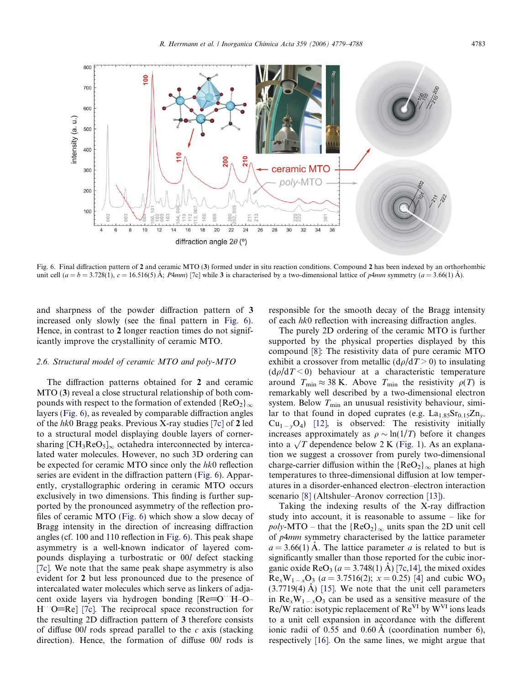<span id="page-4-0"></span>

Fig. 6. Final diffraction pattern of 2 and ceramic MTO (3) formed under in situ reaction conditions. Compound 2 has been indexed by an orthorhombic unit cell  $(a = b = 3.728(1), c = 16.516(5)$  Å; P4mm) [7c] while 3 is characterised by a two-dimensional lattice of p4mm symmetry  $(a = 3.66(1)$  Å).

and sharpness of the powder diffraction pattern of 3 increased only slowly (see the final pattern in Fig. 6). Hence, in contrast to 2 longer reaction times do not significantly improve the crystallinity of ceramic MTO.

## 2.6. Structural model of ceramic MTO and poly-MTO

The diffraction patterns obtained for 2 and ceramic MTO (3) reveal a close structural relationship of both compounds with respect to the formation of extended  ${ReO_2}\_\infty$ layers (Fig. 6), as revealed by comparable diffraction angles of the hk0 Bragg peaks. Previous X-ray studies [7c] of 2 led to a structural model displaying double layers of cornersharing  $\text{[CH}_3\text{ReO}_5]_{\infty}$  octahedra interconnected by intercalated water molecules. However, no such 3D ordering can be expected for ceramic MTO since only the hk0 reflection series are evident in the diffraction pattern (Fig. 6). Apparently, crystallographic ordering in ceramic MTO occurs exclusively in two dimensions. This finding is further supported by the pronounced asymmetry of the reflection profiles of ceramic MTO (Fig. 6) which show a slow decay of Bragg intensity in the direction of increasing diffraction angles (cf. 100 and 110 reflection in Fig. 6). This peak shape asymmetry is a well-known indicator of layered compounds displaying a turbostratic or 00l defect stacking [7c]. We note that the same peak shape asymmetry is also evident for 2 but less pronounced due to the presence of intercalated water molecules which serve as linkers of adjacent oxide layers via hydrogen bonding [Re=O<sup>or</sup>H-O-H O=Re] [7c]. The reciprocal space reconstruction for the resulting 2D diffraction pattern of 3 therefore consists of diffuse  $00l$  rods spread parallel to the c axis (stacking direction). Hence, the formation of diffuse 00l rods is responsible for the smooth decay of the Bragg intensity of each hk0 reflection with increasing diffraction angles.

The purely 2D ordering of the ceramic MTO is further supported by the physical properties displayed by this compound [\[8\]](#page-8-0): The resistivity data of pure ceramic MTO exhibit a crossover from metallic  $(d\rho/dT > 0)$  to insulating  $(d\rho/dT < 0)$  behaviour at a characteristic temperature around  $T_{\min} \approx 38$  K. Above  $T_{\min}$  the resistivity  $\rho(T)$  is remarkably well described by a two-dimensional electron system. Below  $T_{\text{min}}$  an unusual resistivity behaviour, similar to that found in doped cuprates (e.g.  $La<sub>1.85</sub>Sr<sub>0.15</sub>Zn<sub>v</sub>$  $Cu_{1-y}O_4$ ) [\[12\],](#page-8-0) is observed: The resistivity initially increases approximately as  $\rho \sim \ln(1/T)$  before it changes into a  $\sqrt{T}$  dependence below 2 K ([Fig.](#page-1-0) 1). As an explanation we suggest a crossover from purely two-dimensional charge-carrier diffusion within the  ${ReO<sub>2</sub>}<sub>\infty</sub>$  planes at high temperatures to three-dimensional diffusion at low temperatures in a disorder-enhanced electron–electron interaction scenario [\[8\]](#page-8-0) (Altshuler–Aronov correction [\[13\]\)](#page-9-0).

Taking the indexing results of the X-ray diffraction study into account, it is reasonable to assume – like for *poly*-MTO – that the  ${ReO_2}\_\infty$  units span the 2D unit cell of p4mm symmetry characterised by the lattice parameter  $a = 3.66(1)$  Å. The lattice parameter a is related to but is significantly smaller than those reported for the cubic inorganic oxide  $\text{ReO}_3 (a = 3.748(1) \text{ Å})$  [7c,14], the mixed oxides  $\text{Re}_x W_{1-x} \text{O}_3$  (a = 3.7516(2); x = 0.25) [\[4\]](#page-8-0) and cubic WO<sub>3</sub>  $(3.7719(4)$  Å) [\[15\]](#page-9-0). We note that the unit cell parameters in  $\text{Re}_x \text{W}_{1-x} \text{O}_3$  can be used as a sensitive measure of the  $Re/W$  ratio: isotypic replacement of  $Re<sup>VI</sup>$  by  $W<sup>VI</sup>$  ions leads to a unit cell expansion in accordance with the different ionic radii of  $0.55$  and  $0.60 \text{ Å}$  (coordination number 6), respectively [\[16\]](#page-9-0). On the same lines, we might argue that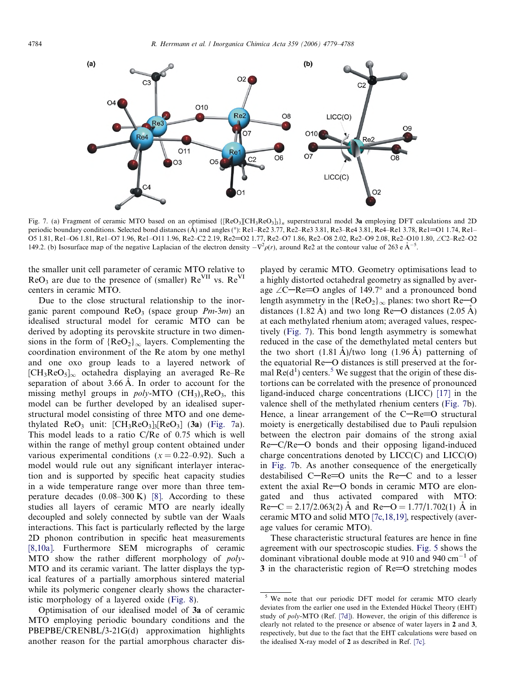

Fig. 7. (a) Fragment of ceramic MTO based on an optimised  $\{[ReO_3][CH_3ReO_3]_3\}_n$  superstructural model 3a employing DFT calculations and 2D periodic boundary conditions. Selected bond distances (A) and angles (°): Re1–Re2 3.77, Re2–Re3 3.81, Re3–Re4 3.81, Re4–Re1 3.78, Re1=O1 1.74, Re1– O5 1.81, Re1-O6 1.81, Re1-O7 1.96, Re1-O11 1.96, Re2-C2 2.19, Re2=O2 1.77, Re2-O7 1.86, Re2-O8 2.02, Re2-O9 2.08, Re2-O10 1.80,  $\angle$ C2-Re2-O2 149.2. (b) Isosurface map of the negative Laplacian of the electron density  $-\nabla^2 \rho(r)$ , around Re2 at the contour value of 263 e  $A^{-5}$ .

the smaller unit cell parameter of ceramic MTO relative to  $ReO_3$  are due to the presence of (smaller)  $Re<sup>VII</sup>$  vs.  $Re<sup>VI</sup>$ centers in ceramic MTO.

Due to the close structural relationship to the inorganic parent compound  $\text{ReO}_3$  (space group  $Pm-3m$ ) and idealised structural model for ceramic MTO can be derived by adopting its perovskite structure in two dimensions in the form of  ${ReO<sub>2</sub>}<sub>\infty</sub>$  layers. Complementing the coordination environment of the Re atom by one methyl and one oxo group leads to a layered network of  $[CH<sub>3</sub>ReO<sub>5</sub>]<sub>\infty</sub>$  octahedra displaying an averaged Re–Re separation of about 3.66 Å. In order to account for the missing methyl groups in  $poly-MTO$  (CH<sub>3</sub>)<sub>x</sub>ReO<sub>3</sub>, this model can be further developed by an idealised superstructural model consisting of three MTO and one demethylated  $\text{ReO}_3$  unit:  $\text{[CH}_3\text{ReO}_3\text{]}$   $\text{[ReO}_3]$   $\text{[Si]}$  (Fig. 7a). This model leads to a ratio C/Re of 0.75 which is well within the range of methyl group content obtained under various experimental conditions ( $x = 0.22{\text -}0.92$ ). Such a model would rule out any significant interlayer interaction and is supported by specific heat capacity studies in a wide temperature range over more than three temperature decades  $(0.08-300 \text{ K})$  [\[8\].](#page-8-0) According to these studies all layers of ceramic MTO are nearly ideally decoupled and solely connected by subtle van der Waals interactions. This fact is particularly reflected by the large 2D phonon contribution in specific heat measurements [\[8,10a\].](#page-8-0) Furthermore SEM micrographs of ceramic MTO show the rather different morphology of poly-MTO and its ceramic variant. The latter displays the typical features of a partially amorphous sintered material while its polymeric congener clearly shows the characteristic morphology of a layered oxide [\(Fig.](#page-6-0) 8).

Optimisation of our idealised model of 3a of ceramic MTO employing periodic boundary conditions and the PBEPBE/CRENBL/3-21G(d) approximation highlights another reason for the partial amorphous character displayed by ceramic MTO. Geometry optimisations lead to a highly distorted octahedral geometry as signalled by average  $\angle C$ –Re=O angles of 149.7° and a pronounced bond length asymmetry in the  ${ReO_2}\_\infty$  planes: two short Re-O distances (1.82 Å) and two long Re-O distances (2.05 Å) at each methylated rhenium atom; averaged values, respectively (Fig. 7). This bond length asymmetry is somewhat reduced in the case of the demethylated metal centers but the two short  $(1.81 \text{ Å})$ /two long  $(1.96 \text{ Å})$  patterning of the equatorial  $Re$ –O distances is still preserved at the formal  $\text{Re}(d^1)$  centers.<sup>5</sup> We suggest that the origin of these distortions can be correlated with the presence of pronounced ligand-induced charge concentrations (LICC) [\[17\]](#page-9-0) in the valence shell of the methylated rhenium centers (Fig. 7b). Hence, a linear arrangement of the  $C-Re=O$  structural moiety is energetically destabilised due to Pauli repulsion between the electron pair domains of the strong axial  $Re-C/Re-O$  bonds and their opposing ligand-induced charge concentrations denoted by LICC(C) and LICC(O) in Fig. 7b. As another consequence of the energetically destabilised  $C-Re=O$  units the  $Re-C$  and to a lesser extent the axial  $Re$  $-$ O bonds in ceramic MTO are elongated and thus activated compared with MTO:  $\text{Re} - \text{C} = 2.17/2.063(2)$  Å and  $\text{Re} - \text{O} = 1.77/1.702(1)$  Å in ceramic MTO and solid MTO [7c,18,19], respectively (average values for ceramic MTO).

These characteristic structural features are hence in fine agreement with our spectroscopic studies. [Fig.](#page-3-0) 5 shows the dominant vibrational double mode at 910 and 940 cm<sup>-1</sup> of  $3$  in the characteristic region of  $Re=O$  stretching modes

<sup>&</sup>lt;sup>5</sup> We note that our periodic DFT model for ceramic MTO clearly deviates from the earlier one used in the Extended Hückel Theory (EHT) study of poly-MTO (Ref. [7d]). However, the origin of this difference is clearly not related to the presence or absence of water layers in 2 and 3, respectively, but due to the fact that the EHT calculations were based on the idealised X-ray model of 2 as described in Ref. [7c].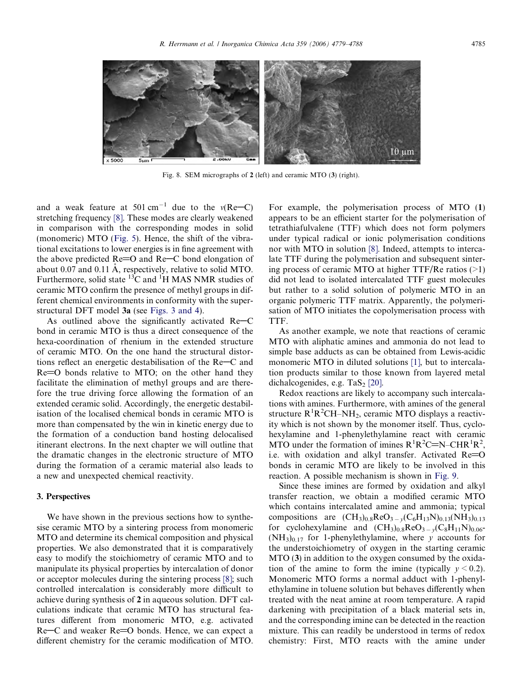<span id="page-6-0"></span>

Fig. 8. SEM micrographs of 2 (left) and ceramic MTO (3) (right).

and a weak feature at 501 cm<sup>-1</sup> due to the  $v(Re-C)$ stretching frequency [\[8\]](#page-8-0). These modes are clearly weakened in comparison with the corresponding modes in solid (monomeric) MTO [\(Fig.](#page-3-0) 5). Hence, the shift of the vibrational excitations to lower energies is in fine agreement with the above predicted  $Re=O$  and  $Re-C$  bond elongation of about 0.07 and 0.11 Å, respectively, relative to solid MTO. Furthermore, solid state  ${}^{13}C$  and  ${}^{1}H$  MAS NMR studies of ceramic MTO confirm the presence of methyl groups in different chemical environments in conformity with the superstructural DFT model 3a (see [Figs.](#page-3-0) 3 and 4).

As outlined above the significantly activated  $Re-C$ bond in ceramic MTO is thus a direct consequence of the hexa-coordination of rhenium in the extended structure of ceramic MTO. On the one hand the structural distortions reflect an energetic destabilisation of the Re–C and  $Re=O$  bonds relative to MTO; on the other hand they facilitate the elimination of methyl groups and are therefore the true driving force allowing the formation of an extended ceramic solid. Accordingly, the energetic destabilisation of the localised chemical bonds in ceramic MTO is more than compensated by the win in kinetic energy due to the formation of a conduction band hosting delocalised itinerant electrons. In the next chapter we will outline that the dramatic changes in the electronic structure of MTO during the formation of a ceramic material also leads to a new and unexpected chemical reactivity.

## 3. Perspectives

We have shown in the previous sections how to synthesise ceramic MTO by a sintering process from monomeric MTO and determine its chemical composition and physical properties. We also demonstrated that it is comparatively easy to modify the stoichiometry of ceramic MTO and to manipulate its physical properties by intercalation of donor or acceptor molecules during the sintering process [\[8\];](#page-8-0) such controlled intercalation is considerably more difficult to achieve during synthesis of 2 in aqueous solution. DFT calculations indicate that ceramic MTO has structural features different from monomeric MTO, e.g. activated  $Re-C$  and weaker  $Re=O$  bonds. Hence, we can expect a different chemistry for the ceramic modification of MTO. For example, the polymerisation process of MTO (1) appears to be an efficient starter for the polymerisation of tetrathiafulvalene (TTF) which does not form polymers under typical radical or ionic polymerisation conditions nor with MTO in solution [\[8\].](#page-8-0) Indeed, attempts to intercalate TTF during the polymerisation and subsequent sintering process of ceramic MTO at higher TTF/Re ratios  $(>1)$ did not lead to isolated intercalated TTF guest molecules but rather to a solid solution of polymeric MTO in an organic polymeric TTF matrix. Apparently, the polymerisation of MTO initiates the copolymerisation process with TTF.

As another example, we note that reactions of ceramic MTO with aliphatic amines and ammonia do not lead to simple base adducts as can be obtained from Lewis-acidic monomeric MTO in diluted solutions [\[1\],](#page-8-0) but to intercalation products similar to those known from layered metal dichalcogenides, e.g. TaS<sub>2</sub> [\[20\]](#page-9-0).

Redox reactions are likely to accompany such intercalations with amines. Furthermore, with amines of the general structure  $R^{1}R^{2}CH-MH_{2}$ , ceramic MTO displays a reactivity which is not shown by the monomer itself. Thus, cyclohexylamine and 1-phenylethylamine react with ceramic MTO under the formation of imines  $R^1R^2C=N-CHR^1R^2$ , i.e. with oxidation and alkyl transfer. Activated  $Re = O$ bonds in ceramic MTO are likely to be involved in this reaction. A possible mechanism is shown in [Fig.](#page-7-0) 9.

Since these imines are formed by oxidation and alkyl transfer reaction, we obtain a modified ceramic MTO which contains intercalated amine and ammonia; typical compositions are  $(CH_3)_{0.8}$ ReO<sub>3 – y</sub>(C<sub>6</sub>H<sub>13</sub>N)<sub>0.13</sub>(NH<sub>3</sub>)<sub>0.13</sub> for cyclohexylamine and  $(CH_3)_{0.8}$ Re $O_{3-y}(C_8H_{11}N)_{0.06}$  $(NH_3)_{0,17}$  for 1-phenylethylamine, where y accounts for the understoichiometry of oxygen in the starting ceramic MTO (3) in addition to the oxygen consumed by the oxidation of the amine to form the imine (typically  $y \le 0.2$ ). Monomeric MTO forms a normal adduct with 1-phenylethylamine in toluene solution but behaves differently when treated with the neat amine at room temperature. A rapid darkening with precipitation of a black material sets in, and the corresponding imine can be detected in the reaction mixture. This can readily be understood in terms of redox chemistry: First, MTO reacts with the amine under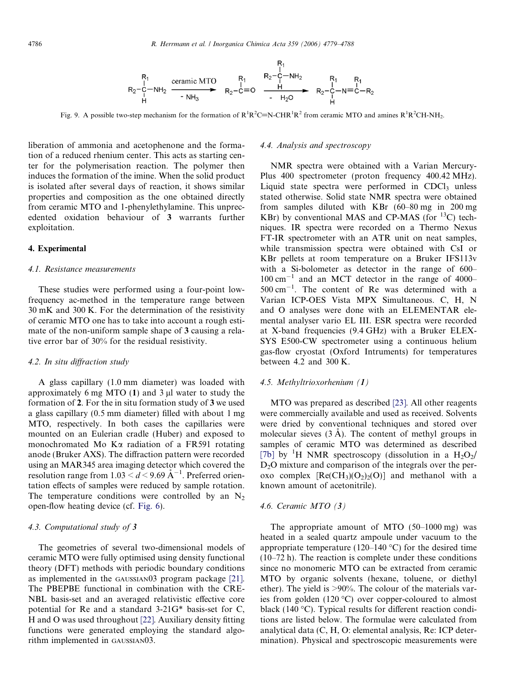

<span id="page-7-0"></span>Fig. 9. A possible two-step mechanism for the formation of  $R^1R^2C=N$ -CHR<sup>1</sup>R<sup>2</sup> from ceramic MTO and amines  $R^1R^2CH-NH_2$ .

liberation of ammonia and acetophenone and the formation of a reduced rhenium center. This acts as starting center for the polymerisation reaction. The polymer then induces the formation of the imine. When the solid product is isolated after several days of reaction, it shows similar properties and composition as the one obtained directly from ceramic MTO and 1-phenylethylamine. This unprecedented oxidation behaviour of 3 warrants further exploitation.

#### 4. Experimental

#### 4.1. Resistance measurements

These studies were performed using a four-point lowfrequency ac-method in the temperature range between 30 mK and 300 K. For the determination of the resistivity of ceramic MTO one has to take into account a rough estimate of the non-uniform sample shape of 3 causing a relative error bar of 30% for the residual resistivity.

#### 4.2. In situ diffraction study

A glass capillary (1.0 mm diameter) was loaded with approximately 6 mg MTO  $(1)$  and 3  $\mu$ l water to study the formation of 2. For the in situ formation study of 3 we used a glass capillary (0.5 mm diameter) filled with about 1 mg MTO, respectively. In both cases the capillaries were mounted on an Eulerian cradle (Huber) and exposed to monochromated Mo Ka radiation of a FR591 rotating anode (Bruker AXS). The diffraction pattern were recorded using an MAR345 area imaging detector which covered the resolution range from  $1.03 \le d \le 9.69 \text{ Å}^{-1}$ . Preferred orientation effects of samples were reduced by sample rotation. The temperature conditions were controlled by an  $N_2$ open-flow heating device (cf. [Fig.](#page-4-0) 6).

#### 4.3. Computational study of 3

The geometries of several two-dimensional models of ceramic MTO were fully optimised using density functional theory (DFT) methods with periodic boundary conditions as implemented in the GAUSSIAN03 program package [\[21\]](#page-9-0). The PBEPBE functional in combination with the CRE-NBL basis-set and an averaged relativistic effective core potential for Re and a standard 3-21G\* basis-set for C, H and O was used throughout [\[22\]](#page-9-0). Auxiliary density fitting functions were generated employing the standard algorithm implemented in GAUSSIAN03.

#### 4.4. Analysis and spectroscopy

NMR spectra were obtained with a Varian Mercury-Plus 400 spectrometer (proton frequency 400.42 MHz). Liquid state spectra were performed in  $CDCl<sub>3</sub>$  unless stated otherwise. Solid state NMR spectra were obtained from samples diluted with KBr (60–80 mg in 200 mg KBr) by conventional MAS and CP-MAS (for <sup>13</sup>C) techniques. IR spectra were recorded on a Thermo Nexus FT-IR spectrometer with an ATR unit on neat samples, while transmission spectra were obtained with CsI or KBr pellets at room temperature on a Bruker IFS113v with a Si-bolometer as detector in the range of 600–  $100 \text{ cm}^{-1}$  and an MCT detector in the range of 4000- $500 \text{ cm}^{-1}$ . The content of Re was determined with a Varian ICP-OES Vista MPX Simultaneous. C, H, N and O analyses were done with an ELEMENTAR elemental analyser vario EL III. ESR spectra were recorded at X-band frequencies (9.4 GHz) with a Bruker ELEX-SYS E500-CW spectrometer using a continuous helium gas-flow cryostat (Oxford Intruments) for temperatures between 4.2 and 300 K.

#### 4.5. Methyltrioxorhenium (1)

MTO was prepared as described [\[23\]](#page-9-0). All other reagents were commercially available and used as received. Solvents were dried by conventional techniques and stored over molecular sieves  $(3 \text{ Å})$ . The content of methyl groups in samples of ceramic MTO was determined as described [7b] by <sup>1</sup>H NMR spectroscopy (dissolution in a  $H_2O_2$ / D2O mixture and comparison of the integrals over the peroxo complex  $[Re(CH_3)(O_2)_2(O)]$  and methanol with a known amount of acetonitrile).

#### 4.6. Ceramic MTO (3)

The appropriate amount of MTO (50–1000 mg) was heated in a sealed quartz ampoule under vacuum to the appropriate temperature (120–140  $^{\circ}$ C) for the desired time (10–72 h). The reaction is complete under these conditions since no monomeric MTO can be extracted from ceramic MTO by organic solvents (hexane, toluene, or diethyl ether). The yield is >90%. The colour of the materials varies from golden  $(120 \degree C)$  over copper-coloured to almost black (140  $^{\circ}$ C). Typical results for different reaction conditions are listed below. The formulae were calculated from analytical data (C, H, O: elemental analysis, Re: ICP determination). Physical and spectroscopic measurements were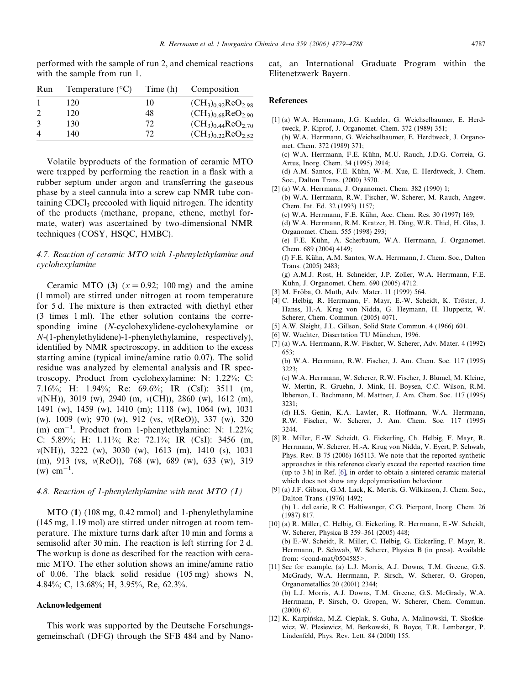<span id="page-8-0"></span>performed with the sample of run 2, and chemical reactions with the sample from run 1.

| Run                         | Temperature $(^{\circ}C)$ | Time (h) | Composition                         |
|-----------------------------|---------------------------|----------|-------------------------------------|
|                             | 120                       | 10       | $(CH_3)_{0.92}$ ReO <sub>2.98</sub> |
|                             | 120                       | 48       | $(CH_3)_{0.68}$ ReO <sub>2.90</sub> |
| $\mathcal{E}$               | 130                       | 72       | $(CH_3)_{0.44}$ ReO <sub>2.70</sub> |
| $\boldsymbol{\vartriangle}$ | 140                       | 72       | $(CH_3)_{0.22}$ ReO <sub>2.52</sub> |

Volatile byproducts of the formation of ceramic MTO were trapped by performing the reaction in a flask with a rubber septum under argon and transferring the gaseous phase by a steel cannula into a screw cap NMR tube containing CDCl<sub>3</sub> precooled with liquid nitrogen. The identity of the products (methane, propane, ethene, methyl formate, water) was ascertained by two-dimensional NMR techniques (COSY, HSQC, HMBC).

## 4.7. Reaction of ceramic MTO with 1-phenylethylamine and cyclohexylamine

Ceramic MTO (3)  $(x = 0.92; 100$  mg) and the amine (1 mmol) are stirred under nitrogen at room temperature for 5 d. The mixture is then extracted with diethyl ether (3 times 1 ml). The ether solution contains the corresponding imine (N-cyclohexylidene-cyclohexylamine or N-(1-phenylethylidene)-1-phenylethylamine, respectively), identified by NMR spectroscopy, in addition to the excess starting amine (typical imine/amine ratio 0.07). The solid residue was analyzed by elemental analysis and IR spectroscopy. Product from cyclohexylamine: N: 1.22%; C: 7.16%; H: 1.94%; Re: 69.6%; IR (CsI): 3511 (m,  $v(NH)$ ), 3019 (w), 2940 (m,  $v(CH)$ ), 2860 (w), 1612 (m), 1491 (w), 1459 (w), 1410 (m); 1118 (w), 1064 (w), 1031 (w), 1009 (w); 970 (w), 912 (vs, m(ReO)), 337 (w), 320  $(m)$  cm<sup>-1</sup>. Product from 1-phenylethylamine: N: 1.22%; C: 5.89%; H: 1.11%; Re: 72.1%; IR (CsI): 3456 (m, m(NH)), 3222 (w), 3030 (w), 1613 (m), 1410 (s), 1031 (m), 913 (vs, m(ReO)), 768 (w), 689 (w), 633 (w), 319  $(w)$  cm<sup>-1</sup>.

#### 4.8. Reaction of 1-phenylethylamine with neat MTO  $(1)$

MTO (1) (108 mg, 0.42 mmol) and 1-phenylethylamine (145 mg, 1.19 mol) are stirred under nitrogen at room temperature. The mixture turns dark after 10 min and forms a semisolid after 30 min. The reaction is left stirring for 2 d. The workup is done as described for the reaction with ceramic MTO. The ether solution shows an imine/amine ratio of 0.06. The black solid residue (105 mg) shows N, 4.84%; C, 13.68%; H, 3.95%, Re, 62.3%.

## Acknowledgement

This work was supported by the Deutsche Forschungsgemeinschaft (DFG) through the SFB 484 and by Nanocat, an International Graduate Program within the Elitenetzwerk Bayern.

## References

| [1] (a) W.A. Herrmann, J.G. Kuchler, G. Weichselbaumer, E. Herd-<br>tweck, P. Kiprof, J. Organomet. Chem. 372 (1989) 351; |
|---------------------------------------------------------------------------------------------------------------------------|
|                                                                                                                           |
| (b) W.A. Herrmann, G. Weichselbaumer, E. Herdtweck, J. Organo-                                                            |
| met. Chem. 372 (1989) 371;                                                                                                |
| (c) W.A. Herrmann, F.E. Kühn, M.U. Rauch, J.D.G. Correia, G.                                                              |
| Artus, Inorg. Chem. 34 (1995) 2914;                                                                                       |
| (d) A.M. Santos, F.E. Kühn, W.-M. Xue, E. Herdtweck, J. Chem.                                                             |
| Soc., Dalton Trans. (2000) 3570.                                                                                          |
| [2] (a) W.A. Herrmann, J. Organomet. Chem. $382$ (1990) 1;                                                                |
| (b) W.A. Herrmann, R.W. Fischer, W. Scherer, M. Rauch, Angew.                                                             |
| Chem. Int. Ed. 32 (1993) 1157;                                                                                            |
| (c) W.A. Herrmann, F.E. Kühn, Acc. Chem. Res. 30 (1997) 169;                                                              |
| (d) W.A. Herrmann, R.M. Kratzer, H. Ding, W.R. Thiel, H. Glas, J.                                                         |
| Organomet. Chem. 555 (1998) 293;                                                                                          |
| (e) F.E. Kühn, A. Scherbaum, W.A. Herrmann, J. Organomet.                                                                 |
| Chem. 689 (2004) 4149;                                                                                                    |
| (f) F.E. Kühn, A.M. Santos, W.A. Herrmann, J. Chem. Soc., Dalton                                                          |
| Trans. (2005) 2483;                                                                                                       |
| (g) A.M.J. Rost, H. Schneider, J.P. Zoller, W.A. Herrmann, F.E.                                                           |
| Kühn, J. Organomet. Chem. 690 (2005) 4712.                                                                                |
| [3] M. Fröba, O. Muth, Adv. Mater. 11 (1999) 564.                                                                         |
| [4] C. Helbig, R. Herrmann, F. Mayr, E.-W. Scheidt, K. Tröster, J.                                                        |
|                                                                                                                           |

- Hanss, H.-A. Krug von Nidda, G. Heymann, H. Huppertz, W.
- Scherer, Chem. Commun. (2005) 4071.
- [5] A.W. Sleight, J.L. Gillson, Solid State Commun. 4 (1966) 601.
- [6] W. Wachter, Dissertation TU München, 1996.
- [7] (a) W.A. Herrmann, R.W. Fischer, W. Scherer, Adv. Mater. 4 (1992) 653;

(b) W.A. Herrmann, R.W. Fischer, J. Am. Chem. Soc. 117 (1995) 3223;

(c) W.A. Herrmann, W. Scherer, R.W. Fischer, J. Blümel, M. Kleine, W. Mertin, R. Gruehn, J. Mink, H. Boysen, C.C. Wilson, R.M. Ibberson, L. Bachmann, M. Mattner, J. Am. Chem. Soc. 117 (1995) 3231;

(d) H.S. Genin, K.A. Lawler, R. Hoffmann, W.A. Herrmann, R.W. Fischer, W. Scherer, J. Am. Chem. Soc. 117 (1995) 3244.

- [8] R. Miller, E.-W. Scheidt, G. Eickerling, Ch. Helbig, F. Mayr, R. Herrmann, W. Scherer, H.-A. Krug von Nidda, V. Eyert, P. Schwab, Phys. Rev. B 75 (2006) 165113. We note that the reported synthetic approaches in this reference clearly exceed the reported reaction time (up to 3 h) in Ref. [6], in order to obtain a sintered ceramic material which does not show any depolymerisation behaviour.
- [9] (a) J.F. Gibson, G.M. Lack, K. Mertis, G. Wilkinson, J. Chem. Soc., Dalton Trans. (1976) 1492; (b) L. deLearie, R.C. Haltiwanger, C.G. Pierpont, Inorg. Chem. 26 (1987) 817.
- [10] (a) R. Miller, C. Helbig, G. Eickerling, R. Herrmann, E.-W. Scheidt, W. Scherer, Physica B 359–361 (2005) 448; (b) E.-W. Scheidt, R. Miller, C. Helbig, G. Eickerling, F. Mayr, R. Herrmann, P. Schwab, W. Scherer, Physica B (in press). Available from: <cond-mat/0504585>.
- [11] See for example, (a) L.J. Morris, A.J. Downs, T.M. Greene, G.S. McGrady, W.A. Herrmann, P. Sirsch, W. Scherer, O. Gropen, Organometallics 20 (2001) 2344; (b) L.J. Morris, A.J. Downs, T.M. Greene, G.S. McGrady, W.A. Herrmann, P. Sirsch, O. Gropen, W. Scherer, Chem. Commun. (2000) 67.
- [12] K. Karpińska, M.Z. Cieplak, S. Guha, A. Malinowski, T. Skośkiewicz, W. Plesiewicz, M. Berkowski, B. Boyce, T.R. Lemberger, P. Lindenfeld, Phys. Rev. Lett. 84 (2000) 155.